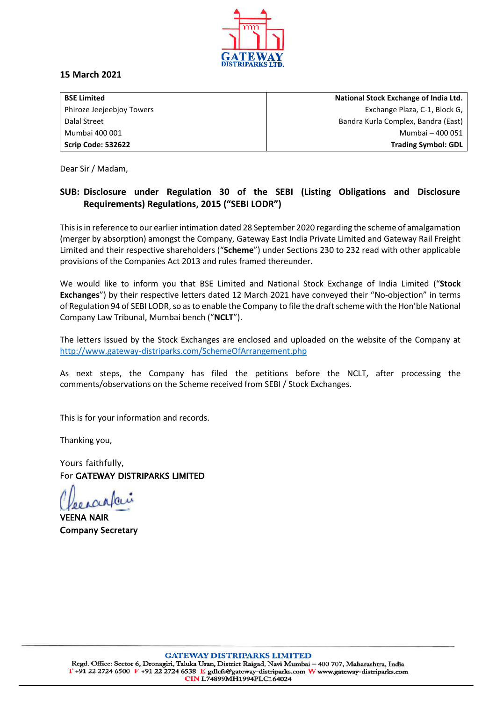

### **15 March 2021**

| <b>BSE Limited</b>        | National Stock Exchange of India Ltd. |
|---------------------------|---------------------------------------|
| Phiroze Jeejeebjoy Towers | Exchange Plaza, C-1, Block G,         |
| Dalal Street              | Bandra Kurla Complex, Bandra (East)   |
| Mumbai 400 001            | Mumbai - 400 051                      |
| Scrip Code: 532622        | <b>Trading Symbol: GDL</b>            |

Dear Sir / Madam,

# **SUB: Disclosure under Regulation 30 of the SEBI (Listing Obligations and Disclosure Requirements) Regulations, 2015 ("SEBI LODR")**

This is in reference to our earlier intimation dated 28 September 2020 regarding the scheme of amalgamation (merger by absorption) amongst the Company, Gateway East India Private Limited and Gateway Rail Freight Limited and their respective shareholders ("**Scheme**") under Sections 230 to 232 read with other applicable provisions of the Companies Act 2013 and rules framed thereunder.

We would like to inform you that BSE Limited and National Stock Exchange of India Limited ("**Stock Exchanges**") by their respective letters dated 12 March 2021 have conveyed their "No-objection" in terms of Regulation 94 of SEBI LODR, so as to enable the Company to file the draft scheme with the Hon'ble National Company Law Tribunal, Mumbai bench ("**NCLT**").

The letters issued by the Stock Exchanges are enclosed and uploaded on the website of the Company at <http://www.gateway-distriparks.com/SchemeOfArrangement.php>

As next steps, the Company has filed the petitions before the NCLT, after processing the comments/observations on the Scheme received from SEBI / Stock Exchanges.

This is for your information and records.

Thanking you,

Yours faithfully, For GATEWAY DISTRIPARKS LIMITED

VEENA NAIR Company Secretary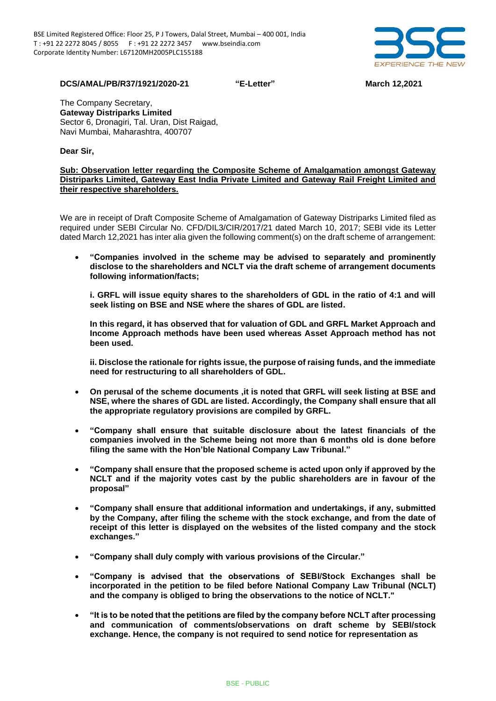

**DCS/AMAL/PB/R37/1921/2020-21 "E-Letter" March 12,2021**

The Company Secretary, **Gateway Distriparks Limited** Sector 6, Dronagiri, Tal. Uran, Dist Raigad, Navi Mumbai, Maharashtra, 400707

#### **Dear Sir,**

#### **Sub: Observation letter regarding the Composite Scheme of Amalgamation amongst Gateway Distriparks Limited, Gateway East India Private Limited and Gateway Rail Freight Limited and their respective shareholders.**

We are in receipt of Draft Composite Scheme of Amalgamation of Gateway Distriparks Limited filed as required under SEBI Circular No. CFD/DIL3/CIR/2017/21 dated March 10, 2017; SEBI vide its Letter dated March 12,2021 has inter alia given the following comment(s) on the draft scheme of arrangement:

• **"Companies involved in the scheme may be advised to separately and prominently disclose to the shareholders and NCLT via the draft scheme of arrangement documents following information/facts;**

**i. GRFL will issue equity shares to the shareholders of GDL in the ratio of 4:1 and will seek listing on BSE and NSE where the shares of GDL are listed.**

**In this regard, it has observed that for valuation of GDL and GRFL Market Approach and Income Approach methods have been used whereas Asset Approach method has not been used.**

**ii. Disclose the rationale for rights issue, the purpose of raising funds, and the immediate need for restructuring to all shareholders of GDL.**

- **On perusal of the scheme documents ,it is noted that GRFL will seek listing at BSE and NSE, where the shares of GDL are listed. Accordingly, the Company shall ensure that all the appropriate regulatory provisions are compiled by GRFL.**
- **"Company shall ensure that suitable disclosure about the latest financials of the companies involved in the Scheme being not more than 6 months old is done before filing the same with the Hon'ble National Company Law Tribunal."**
- **"Company shall ensure that the proposed scheme is acted upon only if approved by the NCLT and if the majority votes cast by the public shareholders are in favour of the proposal"**
- **"Company shall ensure that additional information and undertakings, if any, submitted by the Company, after filing the scheme with the stock exchange, and from the date of receipt of this letter is displayed on the websites of the listed company and the stock exchanges."**
- **"Company shall duly comply with various provisions of the Circular."**
- **"Company is advised that the observations of SEBI/Stock Exchanges shall be incorporated in the petition to be filed before National Company Law Tribunal (NCLT) and the company is obliged to bring the observations to the notice of NCLT."**
- **"It is to be noted that the petitions are filed by the company before NCLT after processing and communication of comments/observations on draft scheme by SEBI/stock exchange. Hence, the company is not required to send notice for representation as**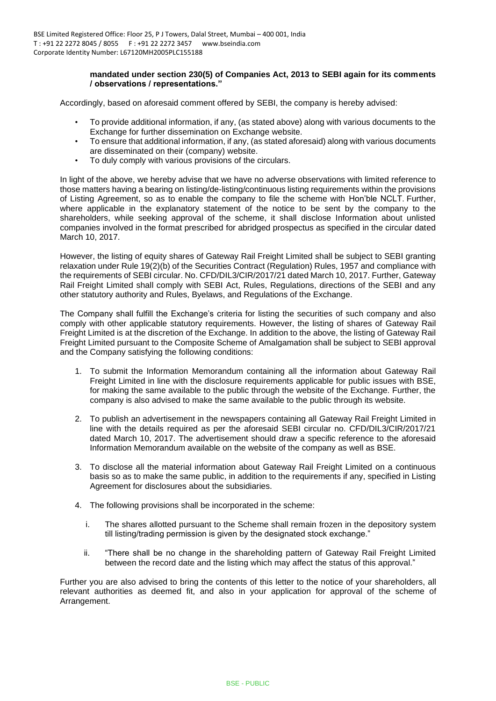#### **mandated under section 230(5) of Companies Act, 2013 to SEBI again for its comments / observations / representations."**

Accordingly, based on aforesaid comment offered by SEBI, the company is hereby advised:

- To provide additional information, if any, (as stated above) along with various documents to the Exchange for further dissemination on Exchange website.
- To ensure that additional information, if any, (as stated aforesaid) along with various documents are disseminated on their (company) website.
- To duly comply with various provisions of the circulars.

In light of the above, we hereby advise that we have no adverse observations with limited reference to those matters having a bearing on listing/de-listing/continuous listing requirements within the provisions of Listing Agreement, so as to enable the company to file the scheme with Hon'ble NCLT. Further, where applicable in the explanatory statement of the notice to be sent by the company to the shareholders, while seeking approval of the scheme, it shall disclose Information about unlisted companies involved in the format prescribed for abridged prospectus as specified in the circular dated March 10, 2017.

However, the listing of equity shares of Gateway Rail Freight Limited shall be subject to SEBI granting relaxation under Rule 19(2)(b) of the Securities Contract (Regulation) Rules, 1957 and compliance with the requirements of SEBI circular. No. CFD/DIL3/CIR/2017/21 dated March 10, 2017. Further, Gateway Rail Freight Limited shall comply with SEBI Act, Rules, Regulations, directions of the SEBI and any other statutory authority and Rules, Byelaws, and Regulations of the Exchange.

The Company shall fulfill the Exchange's criteria for listing the securities of such company and also comply with other applicable statutory requirements. However, the listing of shares of Gateway Rail Freight Limited is at the discretion of the Exchange. In addition to the above, the listing of Gateway Rail Freight Limited pursuant to the Composite Scheme of Amalgamation shall be subject to SEBI approval and the Company satisfying the following conditions:

- 1. To submit the Information Memorandum containing all the information about Gateway Rail Freight Limited in line with the disclosure requirements applicable for public issues with BSE, for making the same available to the public through the website of the Exchange. Further, the company is also advised to make the same available to the public through its website.
- 2. To publish an advertisement in the newspapers containing all Gateway Rail Freight Limited in line with the details required as per the aforesaid SEBI circular no. CFD/DIL3/CIR/2017/21 dated March 10, 2017. The advertisement should draw a specific reference to the aforesaid Information Memorandum available on the website of the company as well as BSE.
- 3. To disclose all the material information about Gateway Rail Freight Limited on a continuous basis so as to make the same public, in addition to the requirements if any, specified in Listing Agreement for disclosures about the subsidiaries.
- 4. The following provisions shall be incorporated in the scheme:
	- i. The shares allotted pursuant to the Scheme shall remain frozen in the depository system till listing/trading permission is given by the designated stock exchange."
	- ii. "There shall be no change in the shareholding pattern of Gateway Rail Freight Limited between the record date and the listing which may affect the status of this approval."

Further you are also advised to bring the contents of this letter to the notice of your shareholders, all relevant authorities as deemed fit, and also in your application for approval of the scheme of Arrangement.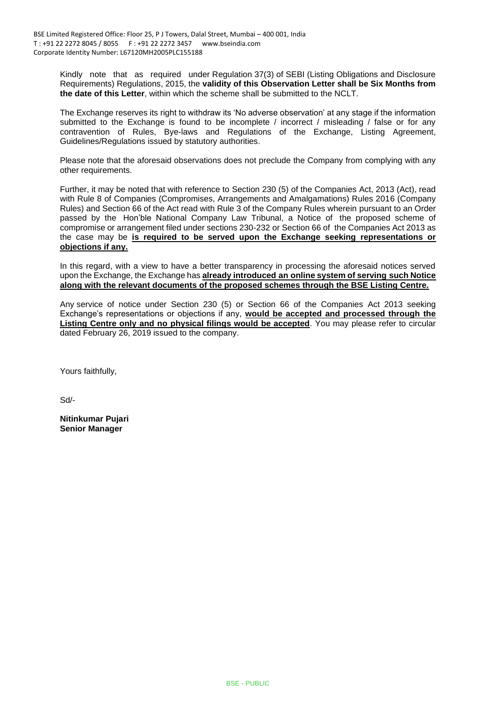Kindly note that as required under Regulation 37(3) of SEBI (Listing Obligations and Disclosure Requirements) Regulations, 2015, the **validity of this Observation Letter shall be Six Months from the date of this Letter**, within which the scheme shall be submitted to the NCLT.

The Exchange reserves its right to withdraw its 'No adverse observation' at any stage if the information submitted to the Exchange is found to be incomplete / incorrect / misleading / false or for any contravention of Rules, Bye-laws and Regulations of the Exchange, Listing Agreement, Guidelines/Regulations issued by statutory authorities.

Please note that the aforesaid observations does not preclude the Company from complying with any other requirements.

Further, it may be noted that with reference to Section 230 (5) of the Companies Act, 2013 (Act), read with Rule 8 of Companies (Compromises, Arrangements and Amalgamations) Rules 2016 (Company Rules) and Section 66 of the Act read with Rule 3 of the Company Rules wherein pursuant to an Order passed by the Hon'ble National Company Law Tribunal, a Notice of the proposed scheme of compromise or arrangement filed under sections 230-232 or Section 66 of the Companies Act 2013 as the case may be **is required to be served upon the Exchange seeking representations or objections if any.**

In this regard, with a view to have a better transparency in processing the aforesaid notices served upon the Exchange, the Exchange has **already introduced an online system of serving such Notice along with the relevant documents of the proposed schemes through the BSE Listing Centre.**

Any service of notice under Section 230 (5) or Section 66 of the Companies Act 2013 seeking Exchange's representations or objections if any, **would be accepted and processed through the Listing Centre only and no physical filings would be accepted**. You may please refer to circular dated February 26, 2019 issued to the company.

Yours faithfully,

Sd/-

**Nitinkumar Pujari Senior Manager**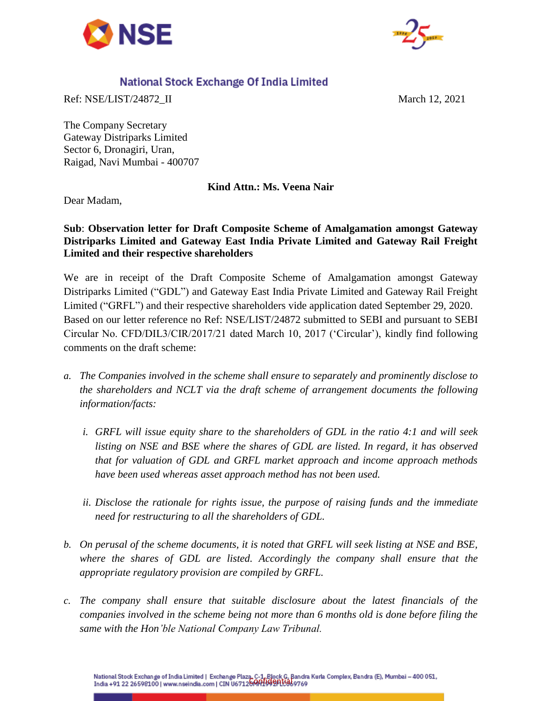



# National Stock Exchange Of India Limited

Ref: NSE/LIST/24872\_II March 12, 2021

The Company Secretary Gateway Distriparks Limited Sector 6, Dronagiri, Uran, Raigad, Navi Mumbai - 400707

**Kind Attn.: Ms. Veena Nair**

Dear Madam,

## **Sub**: **Observation letter for Draft Composite Scheme of Amalgamation amongst Gateway Distriparks Limited and Gateway East India Private Limited and Gateway Rail Freight Limited and their respective shareholders**

We are in receipt of the Draft Composite Scheme of Amalgamation amongst Gateway Distriparks Limited ("GDL") and Gateway East India Private Limited and Gateway Rail Freight Limited ("GRFL") and their respective shareholders vide application dated September 29, 2020. Based on our letter reference no Ref: NSE/LIST/24872 submitted to SEBI and pursuant to SEBI Circular No. CFD/DIL3/CIR/2017/21 dated March 10, 2017 ("Circular"), kindly find following comments on the draft scheme:

- *a. The Companies involved in the scheme shall ensure to separately and prominently disclose to the shareholders and NCLT via the draft scheme of arrangement documents the following information/facts:*
	- *i. GRFL will issue equity share to the shareholders of GDL in the ratio 4:1 and will seek listing on NSE and BSE where the shares of GDL are listed. In regard, it has observed that for valuation of GDL and GRFL market approach and income approach methods have been used whereas asset approach method has not been used.*
	- *ii. Disclose the rationale for rights issue, the purpose of raising funds and the immediate need for restructuring to all the shareholders of GDL.*
- *b. On perusal of the scheme documents, it is noted that GRFL will seek listing at NSE and BSE, where the shares of GDL are listed. Accordingly the company shall ensure that the appropriate regulatory provision are compiled by GRFL.*
- *c. The company shall ensure that suitable disclosure about the latest financials of the companies involved in the scheme being not more than 6 months old is done before filing the same with the Hon'ble National Company Law Tribunal.*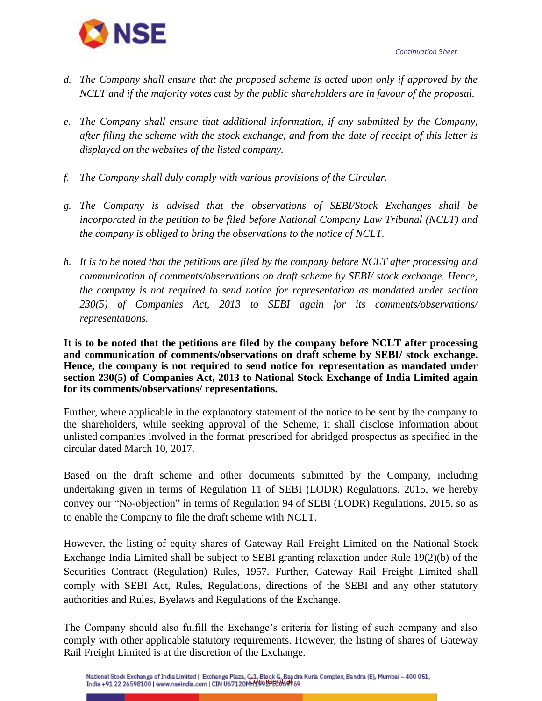**NSE** 

- *d. The Company shall ensure that the proposed scheme is acted upon only if approved by the NCLT and if the majority votes cast by the public shareholders are in favour of the proposal.*
- *e. The Company shall ensure that additional information, if any submitted by the Company, after filing the scheme with the stock exchange, and from the date of receipt of this letter is displayed on the websites of the listed company.*
- *f. The Company shall duly comply with various provisions of the Circular.*
- *g. The Company is advised that the observations of SEBI/Stock Exchanges shall be incorporated in the petition to be filed before National Company Law Tribunal (NCLT) and the company is obliged to bring the observations to the notice of NCLT.*
- *h. It is to be noted that the petitions are filed by the company before NCLT after processing and communication of comments/observations on draft scheme by SEBI/ stock exchange. Hence, the company is not required to send notice for representation as mandated under section 230(5) of Companies Act, 2013 to SEBI again for its comments/observations/ representations.*

**It is to be noted that the petitions are filed by the company before NCLT after processing and communication of comments/observations on draft scheme by SEBI/ stock exchange. Hence, the company is not required to send notice for representation as mandated under section 230(5) of Companies Act, 2013 to National Stock Exchange of India Limited again for its comments/observations/ representations.**

Further, where applicable in the explanatory statement of the notice to be sent by the company to the shareholders, while seeking approval of the Scheme, it shall disclose information about unlisted companies involved in the format prescribed for abridged prospectus as specified in the circular dated March 10, 2017.

Based on the draft scheme and other documents submitted by the Company, including undertaking given in terms of Regulation 11 of SEBI (LODR) Regulations, 2015, we hereby convey our "No-objection" in terms of Regulation 94 of SEBI (LODR) Regulations, 2015, so as to enable the Company to file the draft scheme with NCLT.

However, the listing of equity shares of Gateway Rail Freight Limited on the National Stock Exchange India Limited shall be subject to SEBI granting relaxation under Rule 19(2)(b) of the Securities Contract (Regulation) Rules, 1957. Further, Gateway Rail Freight Limited shall comply with SEBI Act, Rules, Regulations, directions of the SEBI and any other statutory authorities and Rules, Byelaws and Regulations of the Exchange.

The Company should also fulfill the Exchange's criteria for listing of such company and also comply with other applicable statutory requirements. However, the listing of shares of Gateway Rail Freight Limited is at the discretion of the Exchange.